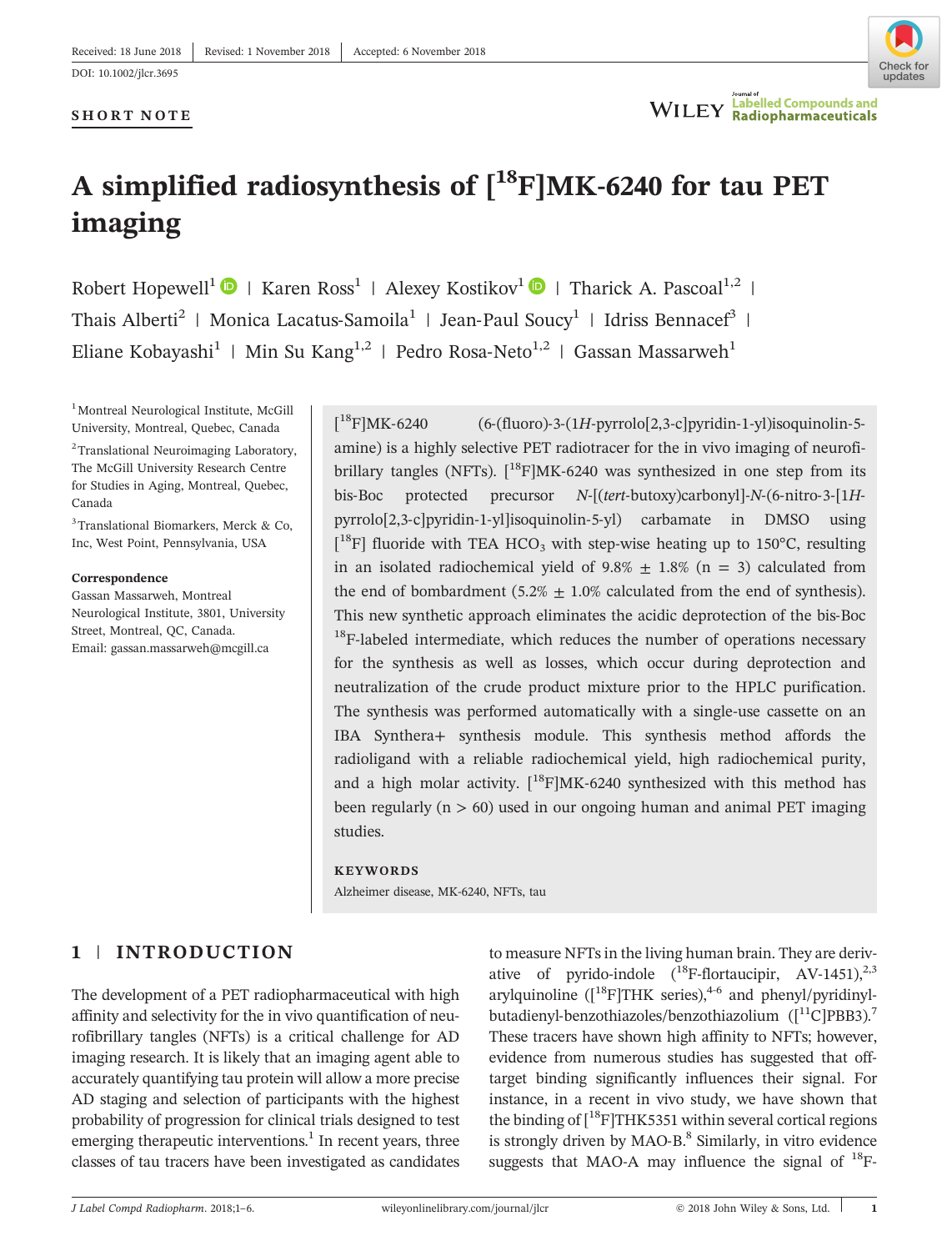# **SHORT NOTE**



# **A simplified radiosynthesis of**  $[^{18}F]MK-6240$  **for tau PET imaging**

Robert Hopewell<sup>1</sup>  $\bullet$  | Karen Ross<sup>1</sup> | Alexey Kostikov<sup>1</sup>  $\bullet$  | Tharick A. Pascoal<sup>1,2</sup> | Robert Hopewell<sup>1</sup>  $\bullet$  | Karen Ross<sup>1</sup> | Alexey Kostikov<sup>1</sup>  $\bullet$  | Tharick A. Pascoal<sup>1,2</sup><br>Thais Alberti<sup>2</sup> | Monica Lacatus-Samoila<sup>1</sup> | Jean-Paul Soucy<sup>1</sup> | Idriss Bennacef<sup>3</sup> | Robert Hopewell<sup>1</sup>  $\bullet$  | Karen Ross<sup>1</sup> | Alexey Kostikov<sup>1</sup>  $\bullet$  | Tharick A. Pascoal<sup>1,1</sup><br>Thais Alberti<sup>2</sup> | Monica Lacatus-Samoila<sup>1</sup> | Jean-Paul Soucy<sup>1</sup> | Idriss Bennacef<sup>3</sup><br>Eliane Kobayashi<sup>1</sup> | Min Su Kang<sup>1,2</sup> | P

<sup>1</sup> Montreal Neurological Institute, McGill University, Montreal, Quebec, Canada

<sup>2</sup> Translational Neuroimaging Laboratory, The McGill University Research Centre for Studies in Aging, Montreal, Quebec, Canada

3 Translational Biomarkers, Merck & Co, Inc, West Point, Pennsylvania, USA

#### **Correspondence**

Gassan Massarweh, Montreal Neurological Institute, 3801, University Street, Montreal, QC, Canada. Email: [gassan.massarweh@mcgill.ca](mailto:gassan.massarweh@mcgill.ca)

 $[$ <sup>18</sup>F]MK-6240 18F]MK‐6240 (6‐(fluoro)‐3‐(1*H*‐pyrrolo[2,3‐c]pyridin‐1‐yl)isoquinolin‐5‐ amine) is a highly selective PET radiotracer for the in vivo imaging of neurofi- $\binom{18}{18}$ MK-6240 (6-(fluoro)-3-(1*H*-pyrrolo[2,3-c]pyridin-1-yl)isoquinolin-5-<br>amine) is a highly selective PET radiotracer for the in vivo imaging of neurofi-<br>brillary tangles (NFTs).  $\binom{18}{18}$ MK-6240 was synthesiz amine) is a highly selective PET radiotracer for the in vivo imaging of neurofi-<br>brillary tangles (NFTs).  $\binom{18}{1}MK-6240$  was synthesized in one step from its<br>bis-Boc protected precursor *N*-[(*tert*-butoxy)carbonyl]-*N* brillary tangles (NFTs).  $[^{18}F]MK-6240$  was synthesized in one step from its<br>bis-Boc protected precursor  $N$ - $[(tert$ -butoxy)carbonyl]- $N$ -(6-nitro-3- $[1H$ -<br>pyrrolo[2,3-c]pyridin-1-yl]isoquinolin-5-yl) carbamate in DMSO usi bis-Boc protected precursor *N*-[(*tert*-butoxy)carbonyl]-*N*-(6-nitro-3-[1*H*-pyrrolo[2,3-c]pyridin-1-yl]isoquinolin-5-yl) carbamate in DMSO using  $[{}^{18}F]$  fluoride with TEA HCO<sub>3</sub> with step-wise heating up to 150°C, r in an isolated radiochemical yield of  $9.8\% \pm 1.8\%$  (n = 3) calculated from<br>the end of bombardment (5.2%  $\pm$  1.0% calculated from the end of synthesis).<br>This new synthetic approach eliminates the acidic deprotection of the end of bombardment  $(5.2\% \pm 1.0\%$  calculated from the end of synthesis). This new synthetic approach eliminates the acidic deprotection of the bis-Boc<sup>18</sup>F-labeled intermediate, which reduces the number of operations necessary for the synthesis as well as losses, which occur during deprotection and neutralization of the crude product mixture prior to the HPLC purification.<br>The synthesis was performed automatically with a single-use cassette on a neutralization of the crude product mixture prior to the HPLC purification. IBA Synthera+ synthesis module. This synthesis method affords the radioligand with a reliable radiochemical yield, high radiochemical purity, and a high molar activity.  $[{}^{18}F]MK-6240$  synthesized with this method has been regularly ( $n > 60$ ) used in our ongoing human and animal PET imaging studies.

#### **KEYWORDS**

Alzheimer disease, MK‐6240, NFTs, tau

# **1** | **INTRODUCTION**

The development of a PET radiopharmaceutical with high affinity and selectivity for the in vivo quantification of neurofibrillary tangles (NFTs) is a critical challenge for AD imaging research. It is likely that an imaging agent able to accurately quantifying tau protein will allow a more precise AD staging and selection of participants with the highest probability of progression for clinical trials designed to test emerging therapeutic interventions. $<sup>1</sup>$  In recent years, three</sup> classes of tau tracers have been investigated as candidates to measure NFTs in the living human brain. They are derivative of pyrido-indole  $(^{18}F$ -flortaucipir, AV-1451),<sup>2,3</sup> to measure NFTs in the living human brain. They are derivative of pyrido-indole  $\binom{18}{18}$ -flortaucipir, AV-1451),<sup>2,3</sup> arylquinoline ([<sup>18</sup>F]THK series),<sup>4-6</sup> and phenyl/pyridinylbutadienyle NF 18 in the living numan orain. They are derivative of pyrido-indole  $(^{18}F$ -flortaucipir, AV-1451),<sup>2,3</sup><br>arylquinoline  $([^{18}F]THK$  series),<sup>4-6</sup> and phenyl/pyridinyl-<br>butadienyl-benzothiazoles/benzothiazoli These tracers have shown high affinity to NFTs; however, butadienyl-benzothiazoles/benzothiazolium  $([$ <sup>11</sup>C]PBB3).<sup>7</sup><br>These tracers have shown high affinity to NFTs; however, evidence from numerous studies has suggested that offtarget binding significantly influences their signal. For instance, in a recent in vivo study, we have shown that the binding of  $[^{18}F]THK5351$  within several cortical regions Figure binding significantly influences their signal. For<br>instance, in a recent in vivo study, we have shown that<br>the binding of  $[1^8F]THK5351$  within several cortical regions<br>is strongly driven by MAO-B.<sup>8</sup> Similarly, in mstance, in a recent in vivo study, we have shown that<br>the binding of  $[1^8F]THK5351$  within several cortical regions<br>is strongly driven by MAO-B.<sup>8</sup> Similarly, in vitro evidence<br>suggests that MAO-A may influence the signa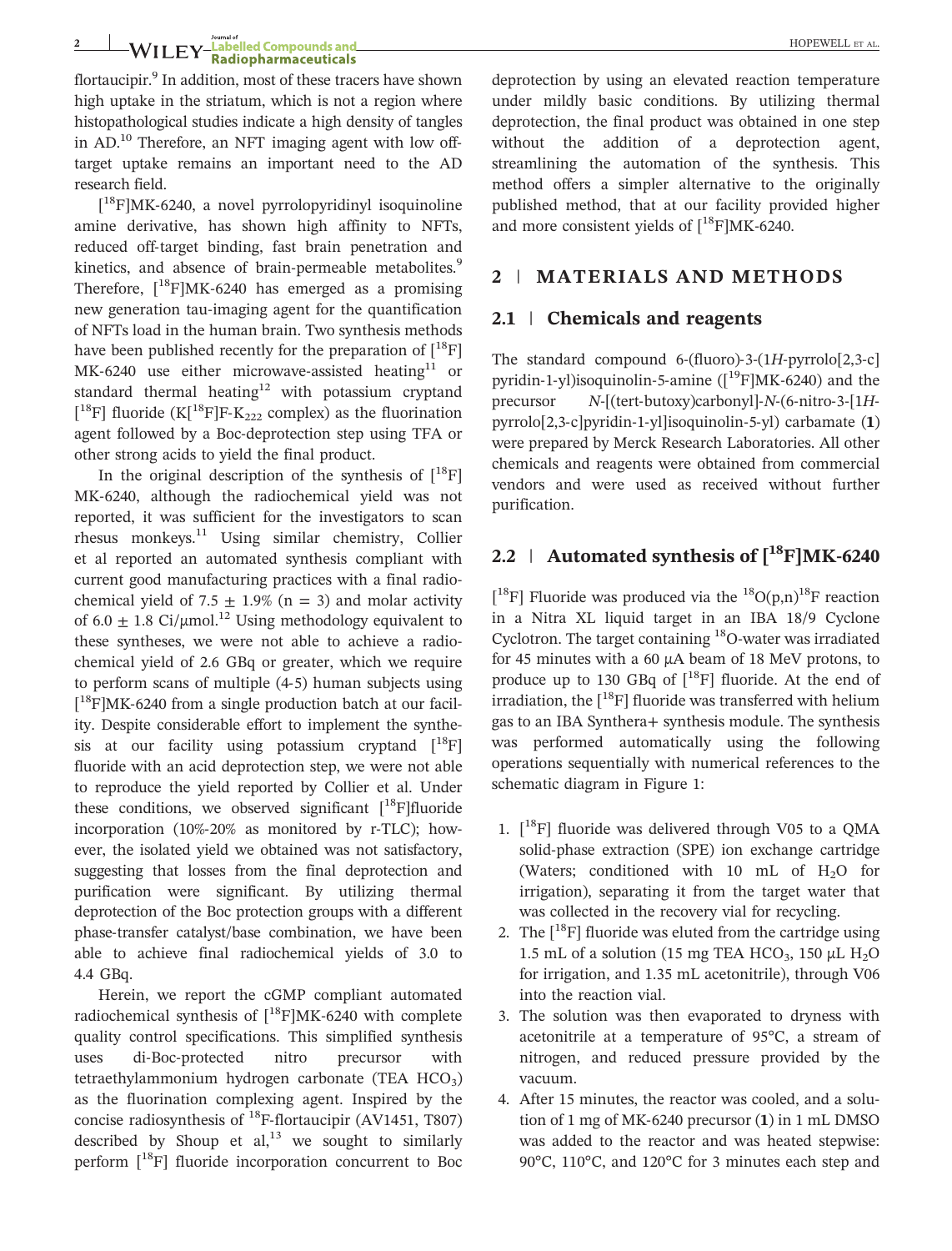# **2**  $\frac{1}{2}$  HOPEWELL ET AL.<br>**2 WILEY Radiopharmaceuticals**

flortaucipir.<sup>9</sup> In addition, most of these tracers have shown high uptake in the striatum, which is not a region where histopathological studies indicate a high density of tangles in Addition, most of these tracers have shown<br>high uptake in the striatum, which is not a region where<br>histopathological studies indicate a high density of tangles<br>in AD.<sup>10</sup> Therefore, an NFT imaging agent with low offtarget uptake remains an important need to the AD research field. 18F). Therefore, an NFT imaging agent with low on-<br>18 uptake remains an important need to the AD<br>18F]MK-6240, a novel pyrrolopyridinyl isoquinoline

 $[{}^{18}F]MK-6240$ , a novel pyrrolopyridinyl isoquinoline amine derivative, has shown high affinity to NFTs, research held.<br>
[<sup>18</sup>F]MK-6240, a novel pyrrolopyridinyl isoquinoline<br>
amine derivative, has shown high affinity to NFTs,<br>
reduced off-target binding, fast brain penetration and r FJMK-0240, a nover pyrrolopyriumyr isoquinome<br>amine derivative, has shown high affinity to NFTs,<br>reduced off-target binding, fast brain penetration and<br>kinetics, and absence of brain-permeable metabolites.<sup>9</sup> annie derivative, has shown high anniny to NFTs,<br>reduced off-target binding, fast brain penetration and<br>kinetics, and absence of brain-permeable metabolites.<sup>9</sup><br>Therefore, [<sup>18</sup>F]MK-6240 has emerged as a promising reduced on-target binding, tast brain penetration and<br>kinetics, and absence of brain-permeable metabolites.<sup>9</sup><br>Therefore, [<sup>18</sup>F]MK-6240 has emerged as a promising<br>new generation tau-imaging agent for the quantification of NFTs load in the human brain. Two synthesis methods have been published recently for the preparation of  $[^{18}F]$ mew generation tau-imaging agent for the quantification<br>of NFTs load in the human brain. Two synthesis methods<br>have been published recently for the preparation of  $[^{18}F]$ <br>MK-6240 use either microwave-assisted heating<sup>11</sup> standard thermal heating<sup>12</sup> with potassium cryptand [<sup>18</sup>F] fluoride (K[<sup>18</sup>F]F-K<sub>222</sub> complex) as the fluorination<br>agent followed by a Boc-deprotection step using TFA or Fluoride Technique (Kender of the preparation of  $\Gamma$  F<br>MK-6240 use either microwave-assisted heating<sup>11</sup> or<br>tandard thermal heating<sup>12</sup> with potassium cryptand<br><sup>18</sup>F] fluoride (K[<sup>18</sup>F]F-K<sub>222</sub> complex) as the fluorinati MK-6240 use emer inicrowave-assisted heating or<br>standard thermal heating<sup>12</sup> with potassium cryptand<br> $\binom{1^8F}{2^8F}$  fluoride (K[<sup>18</sup>F]F-K<sub>222</sub> complex) as the fluorination<br>agent followed by a Boc-deprotection step using other strong acids to yield the final product.

In the original description of the synthesis of  $[^{18}F]$ MK‐6240, although the radiochemical yield was not reported, it was sufficient for the investigators to scan rhesus monkeys.<sup>11</sup> Using similar chemistry, Collier et al reported an automated synthesis compliant with current good manufacturing practices with a final radiochemical yield of 7.5  $\pm$  1.9% (n = 3) and molar activity of 6.0  $\pm$  1.8 Ci/ $\mu$ mol.<sup>12</sup> Using methodology equivalent to these syntheses, we were not able to achieve a radiochemical yield of 2.6 GBq or greater, which we require to b.0  $\pm$  1.8 Cl/ $\mu$ mol. Using memodology equivalent to these syntheses, we were not able to achieve a radio-<br>chemical yield of 2.6 GBq or greater, which we require<br>to perform scans of multiple (4-5) human subjects usi  $[{}^{18}F]$ MK-6240 from a single production batch at our facilthese syntheses, we were not able to achieve a radio-<br>
hemical yield of 2.6 GBq or greater, which we require<br>
o perform scans of multiple (4-5) human subjects using<br>
<sup>18</sup>F]MK-6240 from a single production batch at our faci ity. Despite considerable effort to implement the synthesis at our facility using potassium cryptand  $\left[{}^{18}F\right]$ fluoride with an acid deprotection step, we were not able to reproduce the yield reported by Collier et al. Under these conditions, we observed significant  $[$ <sup>18</sup>F]fluoride intuoride with an acid deprotection step, we were not able<br>to reproduce the yield reported by Collier et al. Under<br>these conditions, we observed significant  $[^{18}F]$ fluoride<br>incorporation (10%-20% as monitored by r-TLC); ever, the isolated yield we obtained was not satisfactory, suggesting that losses from the final deprotection and purification were significant. By utilizing thermal deprotection of the Boc protection groups with a different suggesting that losses from the final deprotection and<br>purification were significant. By utilizing thermal<br>deprotection of the Boc protection groups with a different<br>phase-transfer catalyst/base combination, we have been able to achieve final radiochemical yields of 3.0 to 4.4 GBq.

Herein, we report the cGMP compliant automated Figure to achieve final radiochemical yields of  $5.0\%$  to<br>4.4 GBq.<br>Fierein, we report the cGMP compliant automated<br>radiochemical synthesis of  $[^{18}F]MK-6240$  with complete quality control specifications. This simplified synthesis merem, we report the complete radiochemical synthesis of  $[{}^{18}F]MK-6240$  with complete quality control specifications. This simplified synthesis uses di-Boc-protected nitro precursor with tetraethylammonium hydrogen carbonate (TEA  $HCO<sub>3</sub>$ ) as the fluorination complexing agent. Inspired by the uses di-Boc-protected nitro precursor with<br>tetraethylammonium hydrogen carbonate (TEA HCO<sub>3</sub>)<br>as the fluorination complexing agent. Inspired by the<br>concise radiosynthesis of <sup>18</sup>F-flortaucipir (AV1451, T807) described by Shoup et  $al<sub>1</sub><sup>13</sup>$  we sought to similarly perform  $\begin{bmatrix} 18F \end{bmatrix}$  fluoride incorporation concurrent to Boc deprotection by using an elevated reaction temperature under mildly basic conditions. By utilizing thermal deprotection, the final product was obtained in one step without the addition of a deprotection agent, streamlining the automation of the synthesis. This method offers a simpler alternative to the originally published method, that at our facility provided higher streamning the automation of the syn<br>method offers a simpler alternative to the<br>published method, that at our facility pro-<br>and more consistent yields of  $[^{18}F]MK-6240$ .

# **2** | **MATERIALS AND METHODS**

#### **2.1** | **Chemicals and reagents**

The standard compound 6‐(fluoro)‐3‐(1*H*‐pyrrolo[2,3‐c] **2.1 Chemicals and reagents**<br>The standard compound 6-(fluoro)-3-(1*H*-pyrrolo[2,3-c]<br>pyridin-1-yl)isoquinolin-5-amine ([<sup>19</sup>F]MK-6240) and the The standard compound 6-(fluoro)-3-(1*H*-pyrrolo[2,3-c]<br>pyridin-1-yl)isoquinolin-5-amine ([<sup>19</sup>F]MK-6240) and the<br>precursor *N*-[(tert-butoxy)carbonyl]-*N*-(6-nitro-3-[1*H*pyridin-1-yl)isoquinolin-5-amine ([<sup>19</sup>F]MK-6240) and the<br>precursor M-[(tert-butoxy)carbonyl]-N-(6-nitro-3-[1*H*-<br>pyrrolo[2,3-c]pyridin-1-yl]isoquinolin-5-yl) carbamate (1) were prepared by Merck Research Laboratories. All other chemicals and reagents were obtained from commercial vendors and were used as received without further purification.

# **2.2** <sup>|</sup> **Automated synthesis of [18F]MK‐<sup>6240</sup>**

[<sup>18</sup>F] Fluoride was produced via the <sup>18</sup>O(p,n)<sup>18</sup>F reaction in a Nitra XL liquid target in an IBA 18/9 Cyclone [<sup>18</sup>F] Fluoride was produced via the <sup>18</sup>O(p,n)<sup>18</sup>F reaction<br>in a Nitra XL liquid target in an IBA 18/9 Cyclone<br>Cyclotron. The target containing <sup>18</sup>O-water was irradiated for 45 minutes with a 60 μA beam of 18 MeV protons, to produce up to 130 GBq of  $\binom{18}{1}$  fluoride. At the end of irradiation, the  $\binom{18}{1}$  fluoride was transferred with helium gas to an IBA Synthera+ synthesis module. The synthesis was performed automatically using the following operations sequentially with numerical references to the schematic diagram in Figure 1:

- 1.  $[$ <sup>18</sup>F] fluoride was delivered through V05 to a OMA solid‐phase extraction (SPE) ion exchange cartridge (Waters; conditioned with 10 mL of  $H_2O$  for irrigation), separating it from the target water that was collected in the recovery vial for recycling.
- 2. The  $[18F]$  fluoride was eluted from the cartridge using 1.5 mL of a solution (15 mg TEA HCO<sub>3</sub>, 150  $\mu$ L H<sub>2</sub>O for irrigation, and 1.35 mL acetonitrile), through V06 into the reaction vial.
- 3. The solution was then evaporated to dryness with acetonitrile at a temperature of 95°C, a stream of nitrogen, and reduced pressure provided by the vacuum.
- 4. After 15 minutes, the reactor was cooled, and a solution of 1 mg of MK‐6240 precursor (**1**) in 1 mL DMSO was added to the reactor and was heated stepwise: 90°C, 110°C, and 120°C for 3 minutes each step and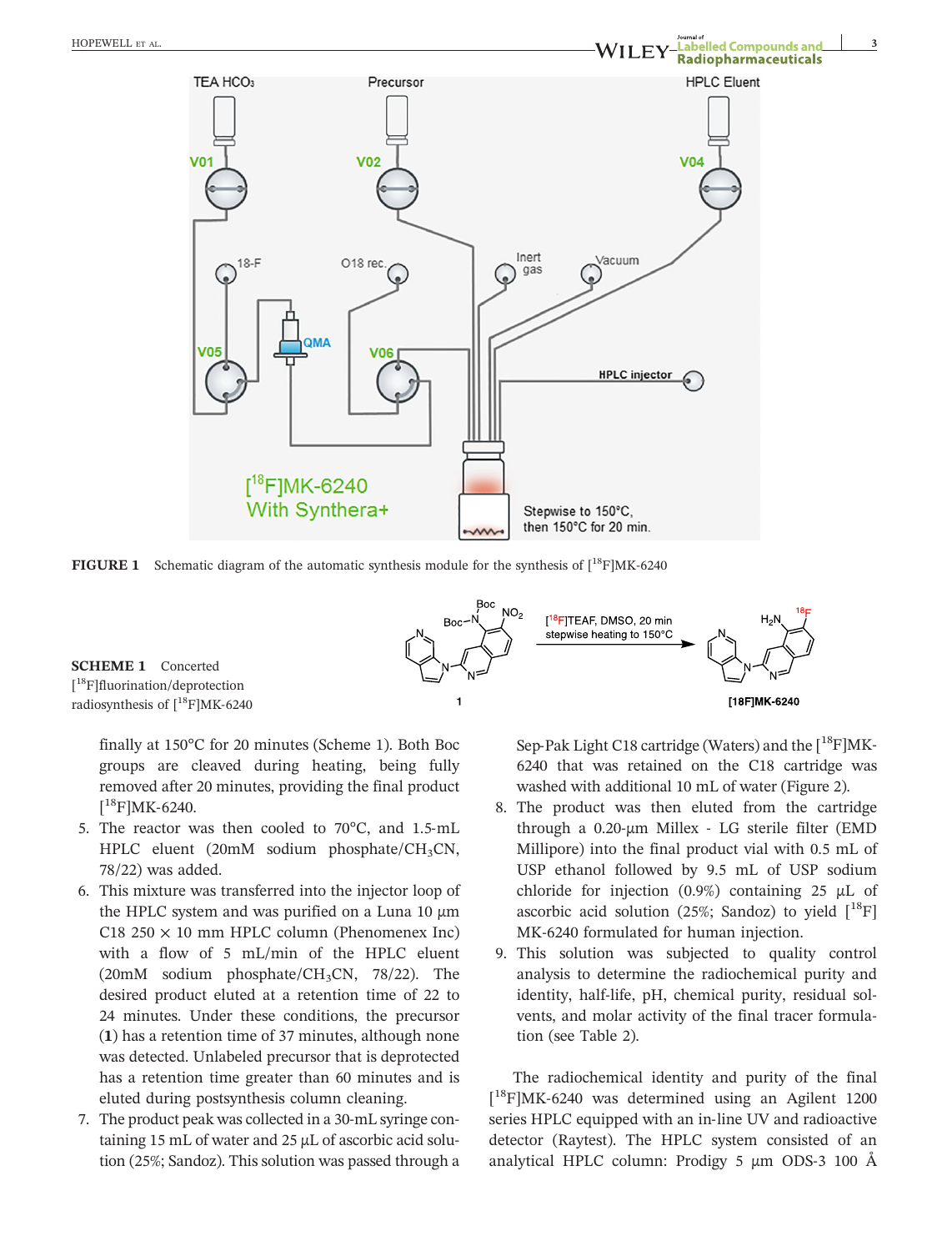



**SCHEME 1** Concerted [ 18F]fluorination/deprotection radiosynthesis of  $[{}^{18}F]MK-6240$ 

finally at 150°C for 20 minutes (Scheme 1). Both Boc groups are cleaved during heating, being fully removed after 20 minutes, providing the final product  $[$ <sup>18</sup>F]MK-6240. many at 150<br>proups are compoved after<br><sup>18</sup>F]MK-6240. groups are creaved during heating, being luny<br>removed after 20 minutes, providing the final product<br> $[^{18}F]MK-6240$ .<br>5. The reactor was then cooled to 70°C, and 1.5-mL

- HPLC eluent (20mM sodium phosphate/ $CH<sub>3</sub>CN$ , 78/22) was added.
- 6. This mixture was transferred into the injector loop of the HPLC system and was purified on a Luna 10  $\mu$ m  $C18$  250  $\times$  10 mm HPLC column (Phenomenex Inc) with a flow of 5 mL/min of the HPLC eluent (20mM sodium phosphate/CH<sub>3</sub>CN, 78/22). The desired product eluted at a retention time of 22 to 24 minutes. Under these conditions, the precursor (**1**) has a retention time of 37 minutes, although none was detected. Unlabeled precursor that is deprotected has a retention time greater than 60 minutes and is eluted during postsynthesis column cleaning.
- 7. The product peak was collected in a 30‐mL syringe containing 15 mL of water and 25 μL of ascorbic acid solution (25%; Sandoz). This solution was passed through a

**18FJMK-6240**<br>Sep-Pak Light C18 cartridge (Waters) and the [<sup>18</sup>F]MK-6240 that was retained on the C18 cartridge was washed with additional 10 mL of water (Figure 2).

- 8. The product was then eluted from the cartridge oz40 that was retained on the C18 carthdge was<br>washed with additional 10 mL of water (Figure 2).<br>The product was then eluted from the cartridge<br>through a 0.20-μm Millex - LG sterile filter (EMD Millipore) into the final product vial with 0.5 mL of USP ethanol followed by 9.5 mL of USP sodium chloride for injection (0.9%) containing 25 μL of ascorbic acid solution (25%; Sandoz) to yield  $[^{18}F]$ USP ethanol followed by 9.5 fill of U.<br>chloride for injection (0.9%) containing<br>ascorbic acid solution (25%; Sandoz) to<br>MK-6240 formulated for human injection.
- 9. This solution was subjected to quality control analysis to determine the radiochemical purity and MK-0240 formulated for human injection.<br>This solution was subjected to quality control<br>analysis to determine the radiochemical purity and<br>identity, half-life, pH, chemical purity, residual solvents, and molar activity of the final tracer formulation (see Table 2).

The radiochemical identity and purity of the final tion (see Table 2).<br>
The radiochemical identity and purity of the final<br>  $[^{18}F]MK-6240$  was determined using an Agilent 1200 The radiochemical identity and purity of the final  $[^{18}F]MK-6240$  was determined using an Agilent 1200 series HPLC equipped with an in-line UV and radioactive detector (Raytest). The HPLC system consisted of an L FJMK-6240 was determined using an Agnent 1200<br>series HPLC equipped with an in-line UV and radioactive<br>detector (Raytest). The HPLC system consisted of an<br>analytical HPLC column: Prodigy 5 μm ODS-3 100 Å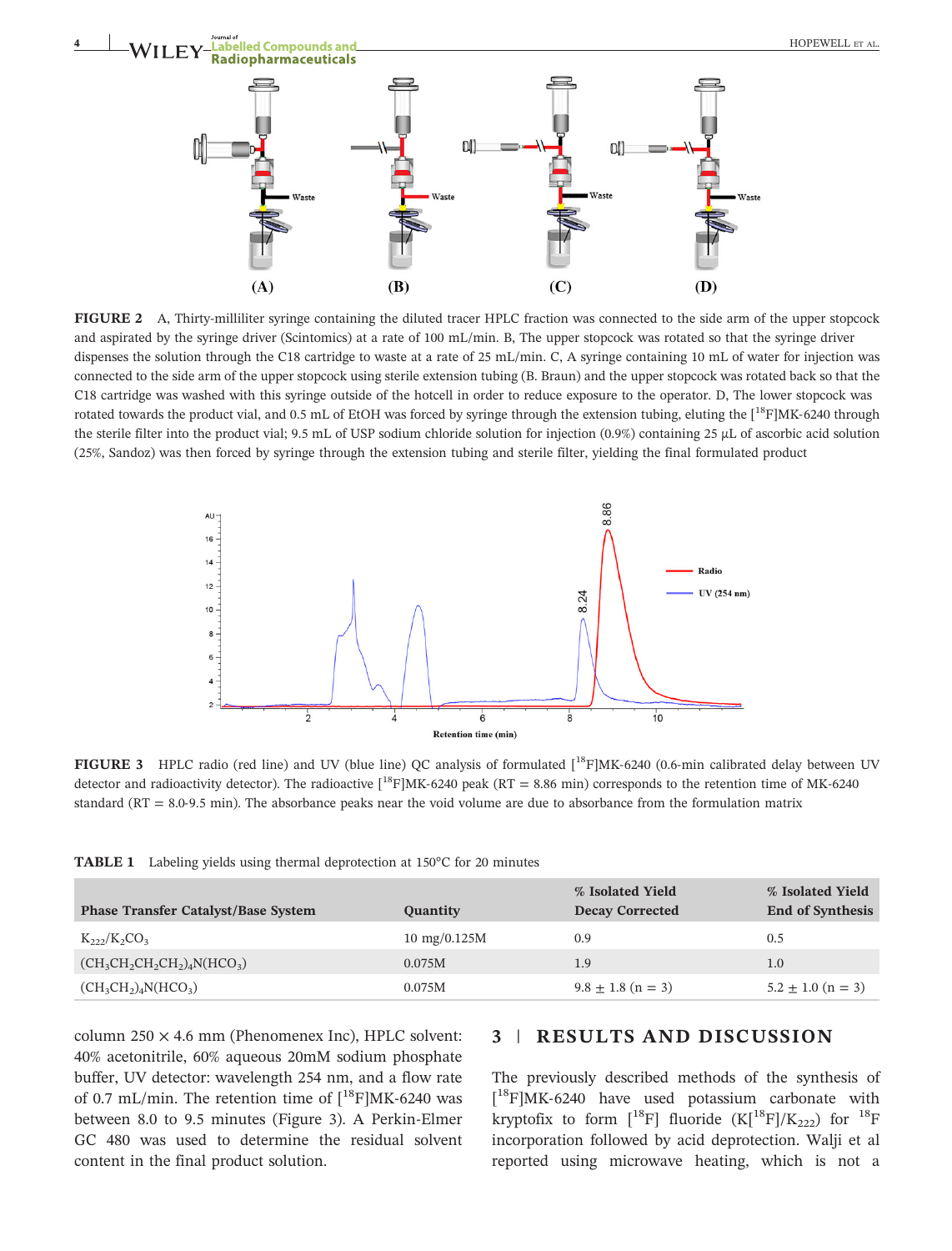

and aspirated by the syringe driver (Scintomics) at a rate of 100 mL/min. B, The upper stopcock was rotated so that the syringe driver dispenses the solution through the C18 cartridge to waste at a rate of 25 mL/min. C, A syringe containing 10 mL of water for injection was connected to the side arm of the upper stopcock using sterile extension tubing (B. Braun) and the upper stopcock was rotated back so that the C18 cartridge was washed with this syringe outside of the hotcell in order to reduce exposure to the operator. D, The lower stopcock was rotated towards the product vial, and 0.5 mL of EtOH was forced by syringe through the extension tubing, eluting the [<sup>18</sup>F]MK-6240 through the sterile filter into the product vial; 9.5 mL of USP sodium chloride solution for injection (0.9%) containing 25 μL of ascorbic acid solution (25%, Sandoz) was then forced by syringe through the extension tubing and sterile filter, yielding the final formulated product



Retention time (min)<br>FIGURE 3 HPLC radio (red line) and UV (blue line) QC analysis of formulated [<sup>18</sup>F]MK-6240 (0.6-min calibrated delay between<br>detector and radioactivity detector). The radioactive [<sup>18</sup>F]MK-6240 peak (R **FIGURE 3** HPLC radio (red line) and UV (blue line) QC analysis of formulated  $[^{18}F]MK-6240$  (0.6-min calibrated delay detector and radioactivity detector). The radioactive  $[^{18}F]MK-6240$  peak (RT = 8.86 min) correspond

**TABLE 1** Labeling yields using thermal deprotection at 150°C for 20 minutes

| <b>Phase Transfer Catalyst/Base System</b>             | Quantity               | % Isolated Yield<br><b>Decay Corrected</b> | % Isolated Yield<br><b>End of Synthesis</b> |
|--------------------------------------------------------|------------------------|--------------------------------------------|---------------------------------------------|
| $K_{222}/K_2CO_3$                                      | $10 \text{ mg}/0.125M$ | 0.9                                        | 0.5                                         |
| $(CH_3CH_2CH_2CH_2)$ <sub>4</sub> N(HCO <sub>3</sub> ) | 0.075M                 | 1.9                                        | 1.0                                         |
| $(CH_3CH_2)_4N(HCO_3)$                                 | 0.075M                 | $9.8 \pm 1.8$ (n = 3)                      | $5.2 \pm 1.0$ (n = 3)                       |

column  $250 \times 4.6$  mm (Phenomenex Inc), HPLC solvent: 40% acetonitrile, 60% aqueous 20mM sodium phosphate buffer, UV detector: wavelength 254 nm, and a flow rate column 250 × 4.6 mm (Phenomenex Inc), HPLC solvent:<br>40% acetonitrile, 60% aqueous 20mM sodium phosphate<br>buffer, UV detector: wavelength 254 nm, and a flow rate<br>of 0.7 mL/min. The retention time of  $[^{18}F]MK-6240$  was 40% accommine, 60% aqueous 20mm soutum phosphate<br>buffer, UV detector: wavelength 254 nm, and a flow rate<br>of 0.7 mL/min. The retention time of  $[^{18}F]MK-6240$  was<br>between 8.0 to 9.5 minutes (Figure 3). A Perkin-Elmer GC 480 was used to determine the residual solvent content in the final product solution.

# **3** | **RESULTS AND DISCUSSION**

The previously described methods of the synthesis of 5 | **KESULIS AND DISCUSSIUN**<br>The previously described methods of the synthesis of<br>[<sup>18</sup>F]MK-6240 have used potassium carbonate with kryptofix to form  $[^{18}\text{F}]$  fluoride  $(K[^{18}\text{F}]/K_{222})$  for  $^{18}\text{F}$ incorporation followed by acid deprotection. Walji et al reported using microwave heating, which is not a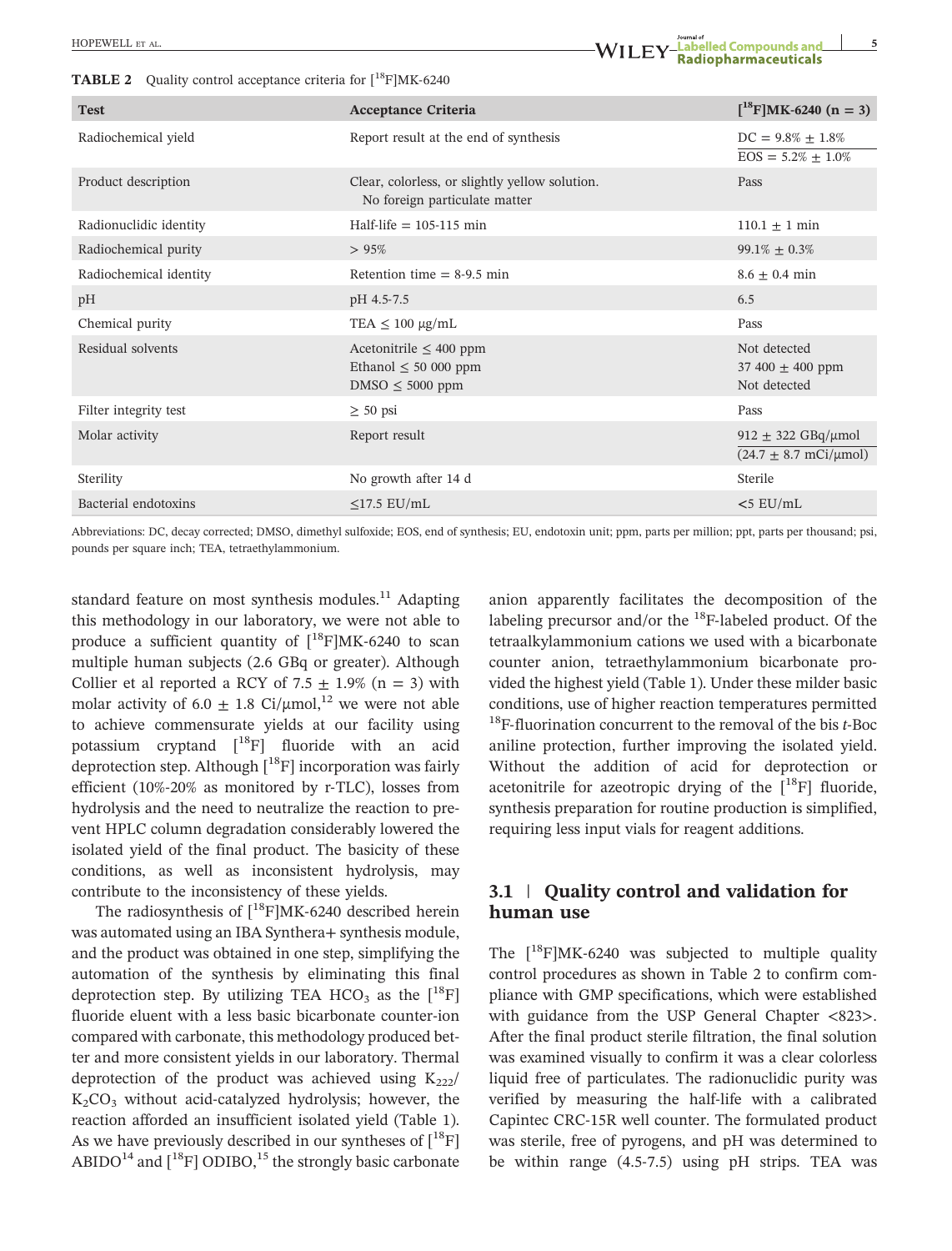**TABLE 2** Quality control acceptance criteria for [18F]MK‐<sup>6240</sup>

| <b>TABLE 2</b> Quality control acceptance criteria for $\binom{18}{1}MK-6240$ |                                                                                 |                                                             |  |  |
|-------------------------------------------------------------------------------|---------------------------------------------------------------------------------|-------------------------------------------------------------|--|--|
| <b>Test</b>                                                                   | <b>Acceptance Criteria</b>                                                      | $\left[ {}^{18}F \right]$ MK-6240 (n = 3)                   |  |  |
| Radiochemical yield                                                           | Report result at the end of synthesis                                           | $DC = 9.8\% \pm 1.8\%$<br>$EOS = 5.2\% \pm 1.0\%$           |  |  |
| Product description                                                           | Clear, colorless, or slightly yellow solution.<br>No foreign particulate matter | Pass                                                        |  |  |
| Radionuclidic identity                                                        | Half-life $= 105 - 115$ min                                                     | $110.1 \pm 1$ min                                           |  |  |
| Radiochemical purity                                                          | >95%                                                                            | $99.1\% \pm 0.3\%$                                          |  |  |
| Radiochemical identity                                                        | Retention time $= 8-9.5$ min                                                    | $8.6 \pm 0.4$ min                                           |  |  |
| pH                                                                            | pH 4.5-7.5                                                                      | 6.5                                                         |  |  |
| Chemical purity                                                               | TEA $\leq 100 \mu g/mL$                                                         | Pass                                                        |  |  |
| Residual solvents                                                             | Acetonitrile $\leq 400$ ppm<br>Ethanol $\leq 50000$ ppm<br>$DMSO \leq 5000$ ppm | Not detected<br>37 400 $\pm$ 400 ppm<br>Not detected        |  |  |
| Filter integrity test                                                         | $\geq 50$ psi                                                                   | Pass                                                        |  |  |
| Molar activity                                                                | Report result                                                                   | $912 \pm 322$ GBq/µmol<br>$(24.7 \pm 8.7 \text{ mCi/µmol})$ |  |  |
| Sterility                                                                     | No growth after 14 d                                                            | Sterile                                                     |  |  |

Abbreviations: DC, decay corrected; DMSO, dimethyl sulfoxide; EOS, end of synthesis; EU, endotoxin unit; ppm, parts per million; ppt, parts per thousand; psi, pounds per square inch; TEA, tetraethylammonium.

Bacterial endotoxins ≤17.5 EU/mL **<**5 EU/mL

standard feature on most synthesis modules.<sup>11</sup> Adapting<br>this methodology in our laboratory, we were not able to<br>produce a sufficient quantity of  $[^{18}F]MK-6240$  to scan this methodology in our laboratory, we were not able to multiple human subjects (2.6 GBq or greater). Although Collier et al reported a RCY of 7.5  $\pm$  1.9% (n = 3) with molar activity of 6.0  $\pm$  1.8 Ci/µmol,<sup>12</sup> we were not able to achieve commensurate yields at our facility using potassium cryptand  $[$ <sup>18</sup>F] fluoride with an acid deprotection step. Although [<sup>18</sup>F] incorporation was fairly for a<br>chieve commensurate yields at our facinty using<br>potassium cryptand  $[^{18}F]$  fluoride with an acid<br>deprotection step. Although  $[^{18}F]$  incorporation was fairly<br>efficient (10%-20% as monitored by r-TLC), losses fro hydrolysis and the need to neutralize the reaction to prevent HPLC column degradation considerably lowered the isolated yield of the final product. The basicity of these conditions, as well as inconsistent hydrolysis, may contribute to the inconsistency of these yields.

The radiosynthesis of  $[{}^{18}F]MK-6240$  described herein was automated using an IBA Synthera+ synthesis module, and the product was obtained in one step, simplifying the automation of the synthesis by eliminating this final deprotection step. By utilizing TEA HCO<sub>3</sub> as the  $[$ <sup>18</sup>F $]$ fluoride eluent with a less basic bicarbonate counter‐ion compared with carbonate, this methodology produced better and more consistent yields in our laboratory. Thermal deprotection of the product was achieved using  $K_{222}/$ Compared with carbonate, this methodology produced bet-<br>ter and more consistent yields in our laboratory. Thermal<br>deprotection of the product was achieved using  $K_{222}/K_2CO_3$  without acid-catalyzed hydrolysis; however, t reaction afforded an insufficient isolated yield (Table 1). As we have previously described in our syntheses of  $\binom{18}{1}$ ABIDO<sup>14</sup> and  $\binom{18}{1}$  ODIBO,<sup>15</sup> the strongly basic carbonate anion apparently facilitates the decomposition of the labeling precursor and/or the  $^{18}$ F-labeled product. Of the tetraalkylammonium cations we used with a bicarbonate counter anion, tetraethylammonium bicarbonate provided the highest yield (Table 1). Under these milder basic conditions, use of higher reaction temperatures permitted 18F‐fluorination concurrent to the removal of the bis *<sup>t</sup>*‐Boc aniline protection, further improving the isolated yield. Without the addition of acid for deprotection or acetonitrile for azeotropic drying of the  $[$ <sup>18</sup>F] fluoride, synthesis preparation for routine production is simplified, requiring less input vials for reagent additions.

## **3.1** | **Quality control and validation for human use**

The  $[18F]MK-6240$  was subjected to multiple quality control procedures as shown in Table 2 to confirm compliance with GMP specifications, which were established with guidance from the USP General Chapter <823>. After the final product sterile filtration, the final solution was examined visually to confirm it was a clear colorless liquid free of particulates. The radionuclidic purity was After the final product sterife intration, the final solution<br>was examined visually to confirm it was a clear colorless<br>liquid free of particulates. The radionuclidic purity was<br>verified by measuring the half-life with a c was examined visually to commit it was a clear coloriess<br>liquid free of particulates. The radionuclidic purity was<br>verified by measuring the half-life with a calibrated<br>Capintec CRC-15R well counter. The formulated product was sterile, free of pyrogens, and pH was determined to be we head by measuring the nan-lie with a canorated<br>Capintec CRC-15R well counter. The formulated product<br>was sterile, free of pyrogens, and pH was determined to<br>be within range (4.5-7.5) using pH strips. TEA was